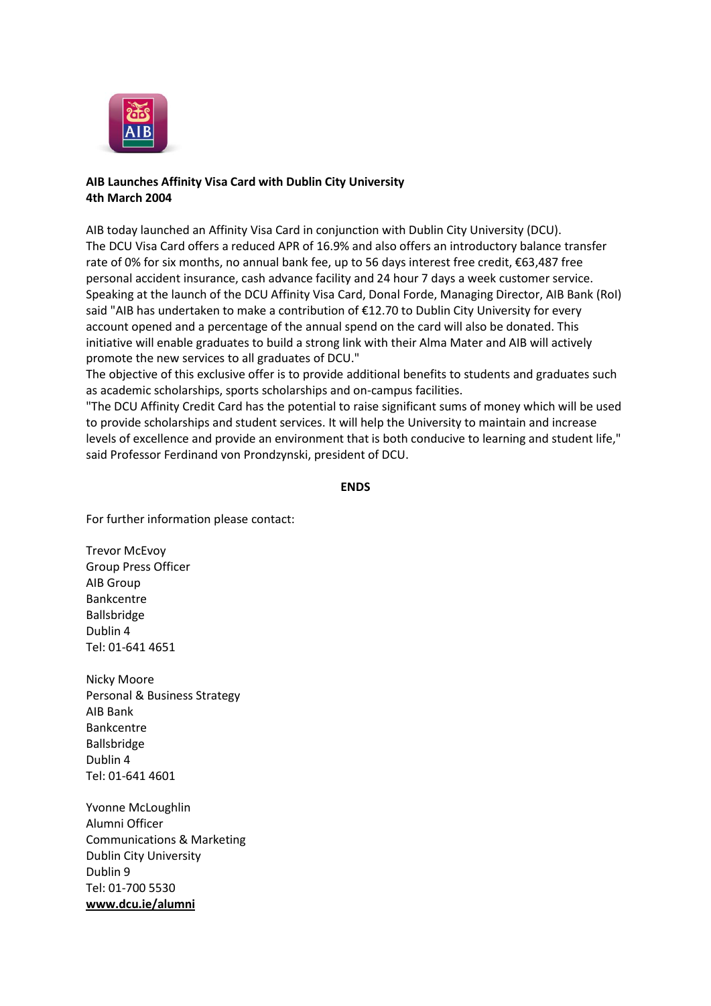

## **AIB Launches Affinity Visa Card with Dublin City University 4th March 2004**

AIB today launched an Affinity Visa Card in conjunction with Dublin City University (DCU). The DCU Visa Card offers a reduced APR of 16.9% and also offers an introductory balance transfer rate of 0% for six months, no annual bank fee, up to 56 days interest free credit, €63,487 free personal accident insurance, cash advance facility and 24 hour 7 days a week customer service. Speaking at the launch of the DCU Affinity Visa Card, Donal Forde, Managing Director, AIB Bank (RoI) said "AIB has undertaken to make a contribution of €12.70 to Dublin City University for every account opened and a percentage of the annual spend on the card will also be donated. This initiative will enable graduates to build a strong link with their Alma Mater and AIB will actively promote the new services to all graduates of DCU."

The objective of this exclusive offer is to provide additional benefits to students and graduates such as academic scholarships, sports scholarships and on-campus facilities.

"The DCU Affinity Credit Card has the potential to raise significant sums of money which will be used to provide scholarships and student services. It will help the University to maintain and increase levels of excellence and provide an environment that is both conducive to learning and student life," said Professor Ferdinand von Prondzynski, president of DCU.

## **ENDS**

For further information please contact:

Trevor McEvoy Group Press Officer AIB Group Bankcentre Ballsbridge Dublin 4 Tel: 01-641 4651

Nicky Moore Personal & Business Strategy AIB Bank Bankcentre Ballsbridge Dublin 4 Tel: 01-641 4601

Yvonne McLoughlin Alumni Officer Communications & Marketing Dublin City University Dublin 9 Tel: 01-700 5530 **[www.dcu.ie/alumni](http://www.dcu.ie/alumni)**